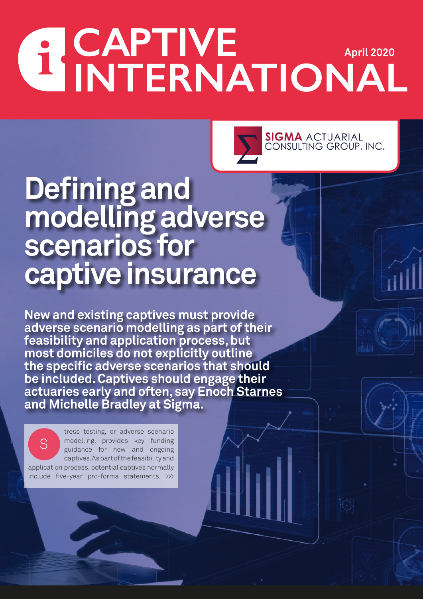## **APTIVE APTIVE APTIL 2020**



## **Defining and modelling adverse scenarios for captive insurance**

**New and existing captives must provide adverse scenario modelling as part of their feasibility and application process, but most domiciles do not explicitly outline the specific adverse scenarios that should be included. Captives should engage their actuaries early and often, say Enoch Starnes and Michelle Bradley at Sigma.**

tress testing, or adverse scenario modelling, provides key funding guidance for new and ongoing captives. As part of the feasibility and application process, potential captives normally include five-year pro-forma statements. >>> S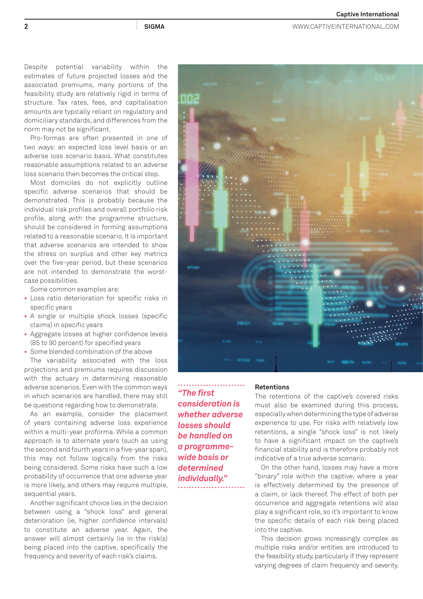**2 SIGMA** WWW.CAPTIVEINTERNATIONAL.COM

Despite potential variability within the estimates of future projected losses and the associated premiums, many portions of the feasibility study are relatively rigid in terms of structure. Tax rates, fees, and capitalisation amounts are typically reliant on regulatory and domiciliary standards, and differences from the norm may not be significant.

Pro-formas are often presented in one of two ways: an expected loss level basis or an adverse loss scenario basis. What constitutes reasonable assumptions related to an adverse loss scenario then becomes the critical step.

Most domiciles do not explicitly outline specific adverse scenarios that should be demonstrated. This is probably because the individual risk profiles and overall portfolio risk profile, along with the programme structure, should be considered in forming assumptions related to a reasonable scenario. It is important that adverse scenarios are intended to show the stress on surplus and other key metrics over the five-year period, but these scenarios are not intended to demonstrate the worstcase possibilities.

Some common examples are:

- **•** Loss ratio deterioration for specific risks in specific years
- **•** A single or multiple shock losses (specific claims) in specific years
- **•** Aggregate losses at higher confidence levels (85 to 90 percent) for specified years
- **•** Some blended combination of the above

The variability associated with the loss projections and premiums requires discussion with the actuary in determining reasonable adverse scenarios. Even with the common ways in which scenarios are handled, there may still be questions regarding how to demonstrate.

As an example, consider the placement of years containing adverse loss experience within a multi-year proforma. While a common approach is to alternate years (such as using the second and fourth years in a five-year span), this may not follow logically from the risks being considered. Some risks have such a low probability of occurrence that one adverse year is more likely, and others may require multiple, sequential years.

Another significant choice lies in the decision between using a "shock loss" and general deterioration (ie, higher confidence intervals) to constitute an adverse year. Again, the answer will almost certainly lie in the risk(s) being placed into the captive, specifically the frequency and severity of each risk's claims.



*"The first consideration is whether adverse losses should be handled on a programmewide basis or determined individually."*

## **Retentions**

The retentions of the captive's covered risks must also be examined during this process, especially when determining the type of adverse experience to use. For risks with relatively low retentions, a single "shock loss" is not likely to have a significant impact on the captive's financial stability and is therefore probably not indicative of a true adverse scenario.

On the other hand, losses may have a more "binary" role within the captive, where a year is effectively determined by the presence of a claim, or lack thereof. The effect of both per occurrence and aggregate retentions will also play a significant role, so it's important to know the specific details of each risk being placed into the captive.

This decision grows increasingly complex as multiple risks and/or entities are introduced to the feasibility study, particularly if they represent varying degrees of claim frequency and severity.